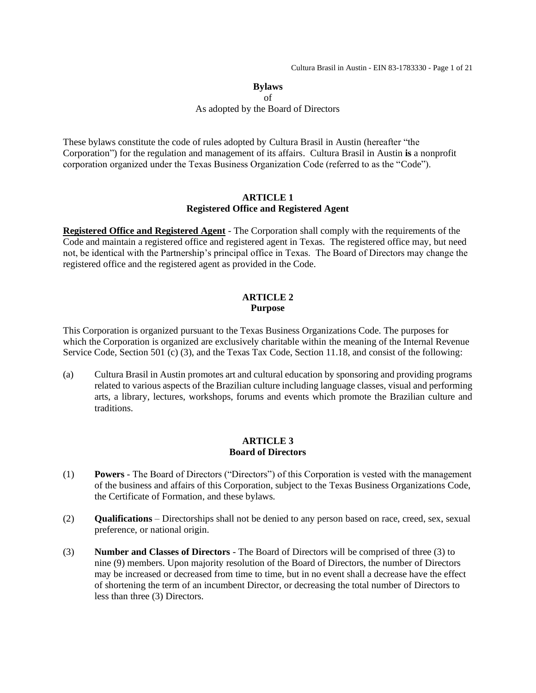## **Bylaws**

of As adopted by the Board of Directors

These bylaws constitute the code of rules adopted by Cultura Brasil in Austin (hereafter "the Corporation") for the regulation and management of its affairs. Cultura Brasil in Austin **is** a nonprofit corporation organized under the Texas Business Organization Code (referred to as the "Code").

#### **ARTICLE 1 Registered Office and Registered Agent**

**Registered Office and Registered Agent** - The Corporation shall comply with the requirements of the Code and maintain a registered office and registered agent in Texas. The registered office may, but need not, be identical with the Partnership's principal office in Texas. The Board of Directors may change the registered office and the registered agent as provided in the Code.

#### **ARTICLE 2 Purpose**

This Corporation is organized pursuant to the Texas Business Organizations Code. The purposes for which the Corporation is organized are exclusively charitable within the meaning of the Internal Revenue Service Code, Section 501 (c) (3), and the Texas Tax Code, Section 11.18, and consist of the following:

(a) Cultura Brasil in Austin promotes art and cultural education by sponsoring and providing programs related to various aspects of the Brazilian culture including language classes, visual and performing arts, a library, lectures, workshops, forums and events which promote the Brazilian culture and traditions.

#### **ARTICLE 3 Board of Directors**

- (1) **Powers** The Board of Directors ("Directors") of this Corporation is vested with the management of the business and affairs of this Corporation, subject to the Texas Business Organizations Code, the Certificate of Formation, and these bylaws.
- (2) **Qualifications** Directorships shall not be denied to any person based on race, creed, sex, sexual preference, or national origin.
- (3) **Number and Classes of Directors** The Board of Directors will be comprised of three (3) to nine (9) members. Upon majority resolution of the Board of Directors, the number of Directors may be increased or decreased from time to time, but in no event shall a decrease have the effect of shortening the term of an incumbent Director, or decreasing the total number of Directors to less than three (3) Directors.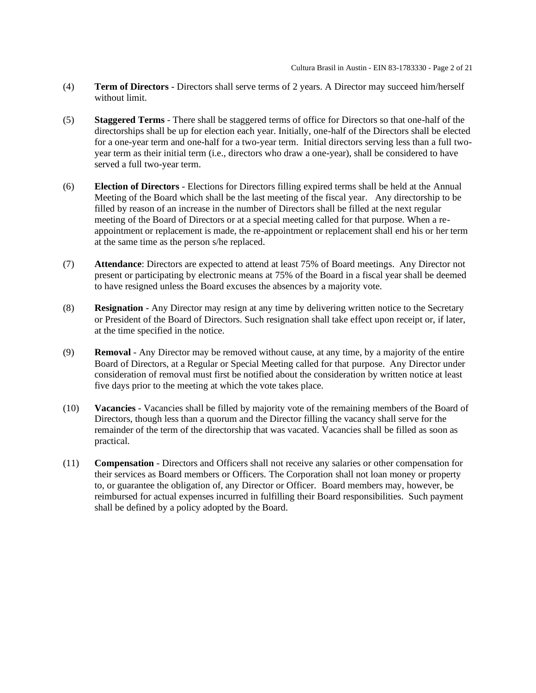- (4) **Term of Directors** Directors shall serve terms of 2 years. A Director may succeed him/herself without limit.
- (5) **Staggered Terms** *-* There shall be staggered terms of office for Directors so that one-half of the directorships shall be up for election each year. Initially, one-half of the Directors shall be elected for a one-year term and one-half for a two-year term. Initial directors serving less than a full twoyear term as their initial term (i.e., directors who draw a one-year), shall be considered to have served a full two-year term.
- (6) **Election of Directors** Elections for Directors filling expired terms shall be held at the Annual Meeting of the Board which shall be the last meeting of the fiscal year. Any directorship to be filled by reason of an increase in the number of Directors shall be filled at the next regular meeting of the Board of Directors or at a special meeting called for that purpose. When a reappointment or replacement is made, the re-appointment or replacement shall end his or her term at the same time as the person s/he replaced.
- (7) **Attendance**: Directors are expected to attend at least 75% of Board meetings. Any Director not present or participating by electronic means at 75% of the Board in a fiscal year shall be deemed to have resigned unless the Board excuses the absences by a majority vote.
- (8) **Resignation** Any Director may resign at any time by delivering written notice to the Secretary or President of the Board of Directors. Such resignation shall take effect upon receipt or, if later, at the time specified in the notice.
- (9) **Removal** Any Director may be removed without cause, at any time, by a majority of the entire Board of Directors, at a Regular or Special Meeting called for that purpose. Any Director under consideration of removal must first be notified about the consideration by written notice at least five days prior to the meeting at which the vote takes place.
- (10) **Vacancies** Vacancies shall be filled by majority vote of the remaining members of the Board of Directors, though less than a quorum and the Director filling the vacancy shall serve for the remainder of the term of the directorship that was vacated. Vacancies shall be filled as soon as practical.
- (11) **Compensation** Directors and Officers shall not receive any salaries or other compensation for their services as Board members or Officers. The Corporation shall not loan money or property to, or guarantee the obligation of, any Director or Officer. Board members may, however, be reimbursed for actual expenses incurred in fulfilling their Board responsibilities. Such payment shall be defined by a policy adopted by the Board.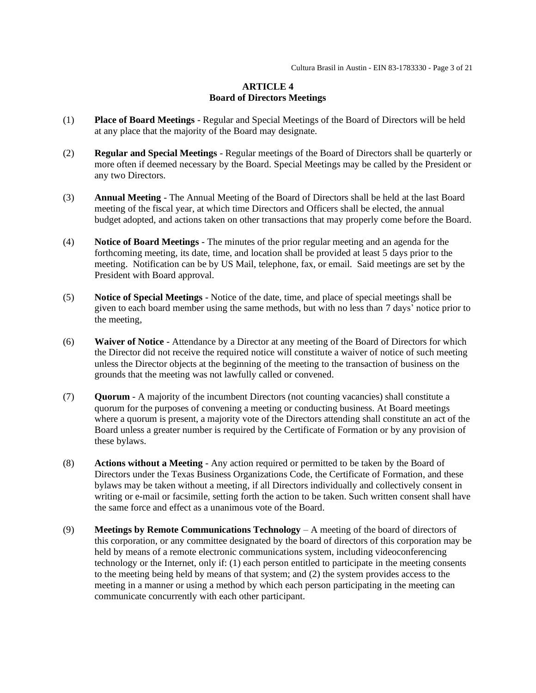## **ARTICLE 4 Board of Directors Meetings**

- (1) **Place of Board Meetings** Regular and Special Meetings of the Board of Directors will be held at any place that the majority of the Board may designate.
- (2) **Regular and Special Meetings** Regular meetings of the Board of Directors shall be quarterly or more often if deemed necessary by the Board. Special Meetings may be called by the President or any two Directors.
- (3) **Annual Meeting** The Annual Meeting of the Board of Directors shall be held at the last Board meeting of the fiscal year, at which time Directors and Officers shall be elected, the annual budget adopted, and actions taken on other transactions that may properly come before the Board.
- (4) **Notice of Board Meetings** The minutes of the prior regular meeting and an agenda for the forthcoming meeting, its date, time, and location shall be provided at least 5 days prior to the meeting. Notification can be by US Mail, telephone, fax, or email. Said meetings are set by the President with Board approval.
- (5) **Notice of Special Meetings** Notice of the date, time, and place of special meetings shall be given to each board member using the same methods, but with no less than 7 days' notice prior to the meeting,
- (6) **Waiver of Notice** Attendance by a Director at any meeting of the Board of Directors for which the Director did not receive the required notice will constitute a waiver of notice of such meeting unless the Director objects at the beginning of the meeting to the transaction of business on the grounds that the meeting was not lawfully called or convened.
- (7) **Quorum** A majority of the incumbent Directors (not counting vacancies) shall constitute a quorum for the purposes of convening a meeting or conducting business. At Board meetings where a quorum is present, a majority vote of the Directors attending shall constitute an act of the Board unless a greater number is required by the Certificate of Formation or by any provision of these bylaws.
- (8) **Actions without a Meeting** Any action required or permitted to be taken by the Board of Directors under the Texas Business Organizations Code, the Certificate of Formation, and these bylaws may be taken without a meeting, if all Directors individually and collectively consent in writing or e-mail or facsimile, setting forth the action to be taken. Such written consent shall have the same force and effect as a unanimous vote of the Board.
- (9) **Meetings by Remote Communications Technology**  A meeting of the board of directors of this corporation, or any committee designated by the board of directors of this corporation may be held by means of a remote electronic communications system, including videoconferencing technology or the Internet, only if: (1) each person entitled to participate in the meeting consents to the meeting being held by means of that system; and (2) the system provides access to the meeting in a manner or using a method by which each person participating in the meeting can communicate concurrently with each other participant.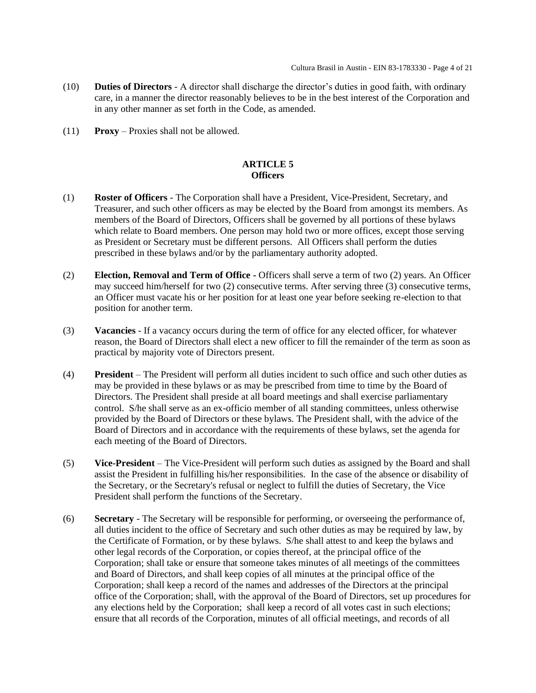- (10) **Duties of Directors**  A director shall discharge the director's duties in good faith, with ordinary care, in a manner the director reasonably believes to be in the best interest of the Corporation and in any other manner as set forth in the Code, as amended.
- (11) **Proxy**  Proxies shall not be allowed.

# **ARTICLE 5 Officers**

- (1) **Roster of Officers** The Corporation shall have a President, Vice-President, Secretary, and Treasurer, and such other officers as may be elected by the Board from amongst its members. As members of the Board of Directors, Officers shall be governed by all portions of these bylaws which relate to Board members. One person may hold two or more offices, except those serving as President or Secretary must be different persons. All Officers shall perform the duties prescribed in these bylaws and/or by the parliamentary authority adopted.
- (2) **Election, Removal and Term of Office -** Officers shall serve a term of two (2) years. An Officer may succeed him/herself for two (2) consecutive terms. After serving three (3) consecutive terms, an Officer must vacate his or her position for at least one year before seeking re-election to that position for another term.
- (3) **Vacancies** If a vacancy occurs during the term of office for any elected officer, for whatever reason, the Board of Directors shall elect a new officer to fill the remainder of the term as soon as practical by majority vote of Directors present.
- (4) **President**  The President will perform all duties incident to such office and such other duties as may be provided in these bylaws or as may be prescribed from time to time by the Board of Directors. The President shall preside at all board meetings and shall exercise parliamentary control. S/he shall serve as an ex-officio member of all standing committees, unless otherwise provided by the Board of Directors or these bylaws. The President shall, with the advice of the Board of Directors and in accordance with the requirements of these bylaws, set the agenda for each meeting of the Board of Directors.
- (5) **Vice-President** The Vice-President will perform such duties as assigned by the Board and shall assist the President in fulfilling his/her responsibilities. In the case of the absence or disability of the Secretary, or the Secretary's refusal or neglect to fulfill the duties of Secretary, the Vice President shall perform the functions of the Secretary.
- (6) **Secretary** The Secretary will be responsible for performing, or overseeing the performance of, all duties incident to the office of Secretary and such other duties as may be required by law, by the Certificate of Formation, or by these bylaws. S/he shall attest to and keep the bylaws and other legal records of the Corporation, or copies thereof, at the principal office of the Corporation; shall take or ensure that someone takes minutes of all meetings of the committees and Board of Directors, and shall keep copies of all minutes at the principal office of the Corporation; shall keep a record of the names and addresses of the Directors at the principal office of the Corporation; shall, with the approval of the Board of Directors, set up procedures for any elections held by the Corporation; shall keep a record of all votes cast in such elections; ensure that all records of the Corporation, minutes of all official meetings, and records of all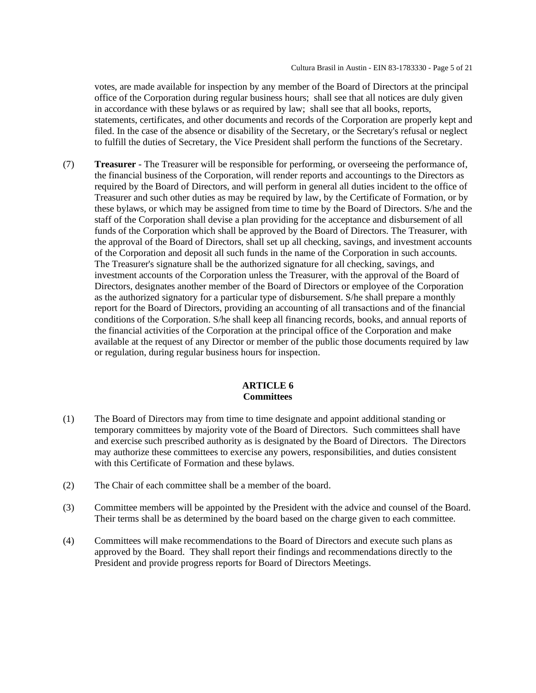votes, are made available for inspection by any member of the Board of Directors at the principal office of the Corporation during regular business hours; shall see that all notices are duly given in accordance with these bylaws or as required by law; shall see that all books, reports, statements, certificates, and other documents and records of the Corporation are properly kept and filed. In the case of the absence or disability of the Secretary, or the Secretary's refusal or neglect to fulfill the duties of Secretary, the Vice President shall perform the functions of the Secretary.

(7) **Treasurer** - The Treasurer will be responsible for performing, or overseeing the performance of, the financial business of the Corporation, will render reports and accountings to the Directors as required by the Board of Directors, and will perform in general all duties incident to the office of Treasurer and such other duties as may be required by law, by the Certificate of Formation, or by these bylaws, or which may be assigned from time to time by the Board of Directors. S/he and the staff of the Corporation shall devise a plan providing for the acceptance and disbursement of all funds of the Corporation which shall be approved by the Board of Directors. The Treasurer, with the approval of the Board of Directors, shall set up all checking, savings, and investment accounts of the Corporation and deposit all such funds in the name of the Corporation in such accounts. The Treasurer's signature shall be the authorized signature for all checking, savings, and investment accounts of the Corporation unless the Treasurer, with the approval of the Board of Directors, designates another member of the Board of Directors or employee of the Corporation as the authorized signatory for a particular type of disbursement. S/he shall prepare a monthly report for the Board of Directors, providing an accounting of all transactions and of the financial conditions of the Corporation. S/he shall keep all financing records, books, and annual reports of the financial activities of the Corporation at the principal office of the Corporation and make available at the request of any Director or member of the public those documents required by law or regulation, during regular business hours for inspection.

#### **ARTICLE 6 Committees**

- (1) The Board of Directors may from time to time designate and appoint additional standing or temporary committees by majority vote of the Board of Directors. Such committees shall have and exercise such prescribed authority as is designated by the Board of Directors. The Directors may authorize these committees to exercise any powers, responsibilities, and duties consistent with this Certificate of Formation and these bylaws.
- (2) The Chair of each committee shall be a member of the board.
- (3) Committee members will be appointed by the President with the advice and counsel of the Board. Their terms shall be as determined by the board based on the charge given to each committee.
- (4) Committees will make recommendations to the Board of Directors and execute such plans as approved by the Board. They shall report their findings and recommendations directly to the President and provide progress reports for Board of Directors Meetings.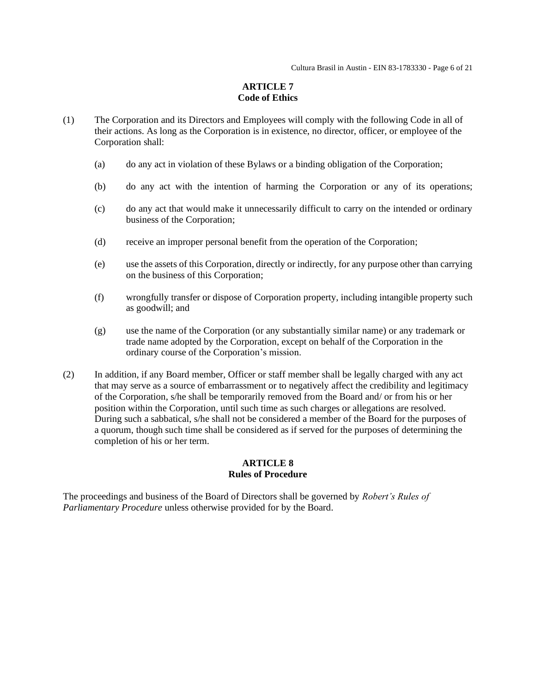# **ARTICLE 7 Code of Ethics**

- (1) The Corporation and its Directors and Employees will comply with the following Code in all of their actions. As long as the Corporation is in existence, no director, officer, or employee of the Corporation shall:
	- (a) do any act in violation of these Bylaws or a binding obligation of the Corporation;
	- (b) do any act with the intention of harming the Corporation or any of its operations;
	- (c) do any act that would make it unnecessarily difficult to carry on the intended or ordinary business of the Corporation;
	- (d) receive an improper personal benefit from the operation of the Corporation;
	- (e) use the assets of this Corporation, directly or indirectly, for any purpose other than carrying on the business of this Corporation;
	- (f) wrongfully transfer or dispose of Corporation property, including intangible property such as goodwill; and
	- (g) use the name of the Corporation (or any substantially similar name) or any trademark or trade name adopted by the Corporation, except on behalf of the Corporation in the ordinary course of the Corporation's mission.
- (2) In addition, if any Board member, Officer or staff member shall be legally charged with any act that may serve as a source of embarrassment or to negatively affect the credibility and legitimacy of the Corporation, s/he shall be temporarily removed from the Board and/ or from his or her position within the Corporation, until such time as such charges or allegations are resolved. During such a sabbatical, s/he shall not be considered a member of the Board for the purposes of a quorum, though such time shall be considered as if served for the purposes of determining the completion of his or her term.

## **ARTICLE 8 Rules of Procedure**

The proceedings and business of the Board of Directors shall be governed by *Robert's Rules of Parliamentary Procedure* unless otherwise provided for by the Board.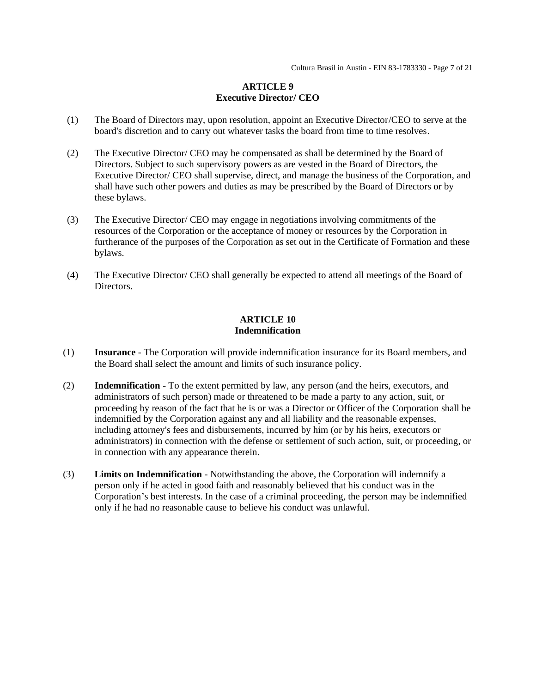# **ARTICLE 9 Executive Director/ CEO**

- (1) The Board of Directors may, upon resolution, appoint an Executive Director/CEO to serve at the board's discretion and to carry out whatever tasks the board from time to time resolves.
- (2) The Executive Director/ CEO may be compensated as shall be determined by the Board of Directors. Subject to such supervisory powers as are vested in the Board of Directors, the Executive Director/ CEO shall supervise, direct, and manage the business of the Corporation, and shall have such other powers and duties as may be prescribed by the Board of Directors or by these bylaws.
- (3) The Executive Director/ CEO may engage in negotiations involving commitments of the resources of the Corporation or the acceptance of money or resources by the Corporation in furtherance of the purposes of the Corporation as set out in the Certificate of Formation and these bylaws.
- (4) The Executive Director/ CEO shall generally be expected to attend all meetings of the Board of Directors.

#### **ARTICLE 10 Indemnification**

- (1) **Insurance** The Corporation will provide indemnification insurance for its Board members, and the Board shall select the amount and limits of such insurance policy.
- (2) **Indemnification**  To the extent permitted by law, any person (and the heirs, executors, and administrators of such person) made or threatened to be made a party to any action, suit, or proceeding by reason of the fact that he is or was a Director or Officer of the Corporation shall be indemnified by the Corporation against any and all liability and the reasonable expenses, including attorney's fees and disbursements, incurred by him (or by his heirs, executors or administrators) in connection with the defense or settlement of such action, suit, or proceeding, or in connection with any appearance therein.
- (3) **Limits on Indemnification** Notwithstanding the above, the Corporation will indemnify a person only if he acted in good faith and reasonably believed that his conduct was in the Corporation's best interests. In the case of a criminal proceeding, the person may be indemnified only if he had no reasonable cause to believe his conduct was unlawful.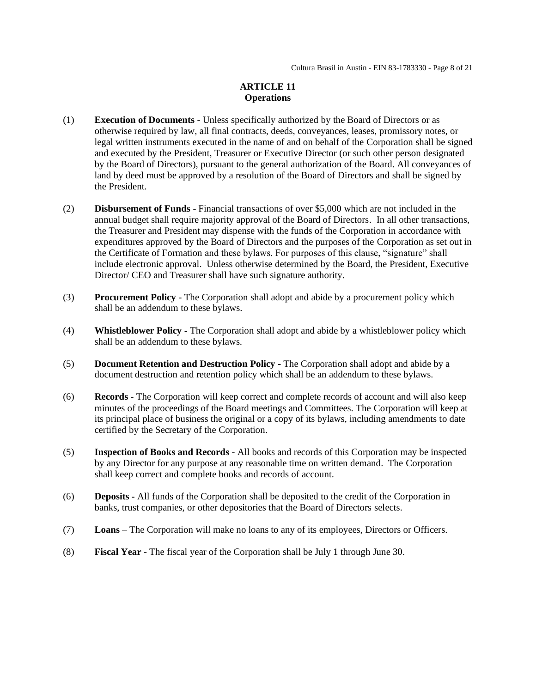## **ARTICLE 11 Operations**

- (1) **Execution of Documents** Unless specifically authorized by the Board of Directors or as otherwise required by law, all final contracts, deeds, conveyances, leases, promissory notes, or legal written instruments executed in the name of and on behalf of the Corporation shall be signed and executed by the President, Treasurer or Executive Director (or such other person designated by the Board of Directors), pursuant to the general authorization of the Board. All conveyances of land by deed must be approved by a resolution of the Board of Directors and shall be signed by the President.
- (2) **Disbursement of Funds** Financial transactions of over \$5,000 which are not included in the annual budget shall require majority approval of the Board of Directors. In all other transactions, the Treasurer and President may dispense with the funds of the Corporation in accordance with expenditures approved by the Board of Directors and the purposes of the Corporation as set out in the Certificate of Formation and these bylaws. For purposes of this clause, "signature" shall include electronic approval. Unless otherwise determined by the Board, the President, Executive Director/ CEO and Treasurer shall have such signature authority.
- (3) **Procurement Policy** The Corporation shall adopt and abide by a procurement policy which shall be an addendum to these bylaws.
- (4) **Whistleblower Policy -** The Corporation shall adopt and abide by a whistleblower policy which shall be an addendum to these bylaws.
- (5) **Document Retention and Destruction Policy -** The Corporation shall adopt and abide by a document destruction and retention policy which shall be an addendum to these bylaws.
- (6) **Records** The Corporation will keep correct and complete records of account and will also keep minutes of the proceedings of the Board meetings and Committees. The Corporation will keep at its principal place of business the original or a copy of its bylaws, including amendments to date certified by the Secretary of the Corporation.
- (5) **Inspection of Books and Records -** All books and records of this Corporation may be inspected by any Director for any purpose at any reasonable time on written demand. The Corporation shall keep correct and complete books and records of account.
- (6) **Deposits -** All funds of the Corporation shall be deposited to the credit of the Corporation in banks, trust companies, or other depositories that the Board of Directors selects.
- (7) **Loans** The Corporation will make no loans to any of its employees, Directors or Officers.
- (8) **Fiscal Year** The fiscal year of the Corporation shall be July 1 through June 30.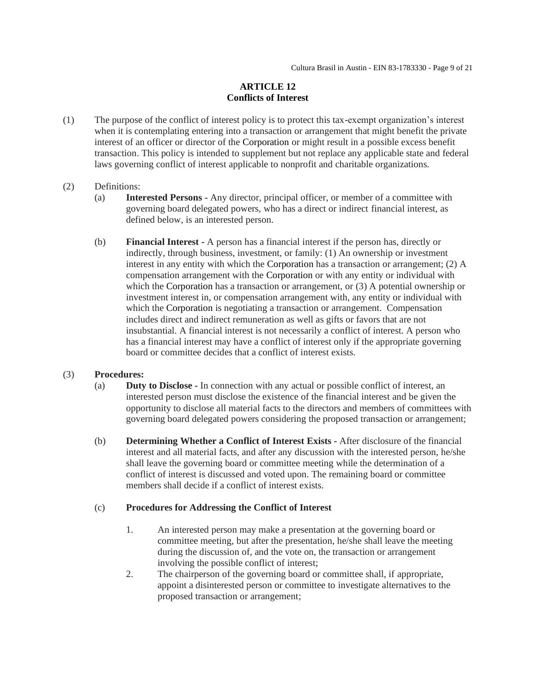# **ARTICLE 12 Conflicts of Interest**

- (1) The purpose of the conflict of interest policy is to protect this tax-exempt organization's interest when it is contemplating entering into a transaction or arrangement that might benefit the private interest of an officer or director of the Corporation or might result in a possible excess benefit transaction. This policy is intended to supplement but not replace any applicable state and federal laws governing conflict of interest applicable to nonprofit and charitable organizations.
- (2) Definitions:
	- (a) **Interested Persons -** Any director, principal officer, or member of a committee with governing board delegated powers, who has a direct or indirect financial interest, as defined below, is an interested person.
	- (b) **Financial Interest -** A person has a financial interest if the person has, directly or indirectly, through business, investment, or family: (1) An ownership or investment interest in any entity with which the Corporation has a transaction or arrangement; (2) A compensation arrangement with the Corporation or with any entity or individual with which the Corporation has a transaction or arrangement, or (3) A potential ownership or investment interest in, or compensation arrangement with, any entity or individual with which the Corporation is negotiating a transaction or arrangement. Compensation includes direct and indirect remuneration as well as gifts or favors that are not insubstantial. A financial interest is not necessarily a conflict of interest. A person who has a financial interest may have a conflict of interest only if the appropriate governing board or committee decides that a conflict of interest exists.

#### (3) **Procedures:**

- (a) **Duty to Disclose -** In connection with any actual or possible conflict of interest, an interested person must disclose the existence of the financial interest and be given the opportunity to disclose all material facts to the directors and members of committees with governing board delegated powers considering the proposed transaction or arrangement;
- (b) **Determining Whether a Conflict of Interest Exists -** After disclosure of the financial interest and all material facts, and after any discussion with the interested person, he/she shall leave the governing board or committee meeting while the determination of a conflict of interest is discussed and voted upon. The remaining board or committee members shall decide if a conflict of interest exists.

#### (c) **Procedures for Addressing the Conflict of Interest**

- 1. An interested person may make a presentation at the governing board or committee meeting, but after the presentation, he/she shall leave the meeting during the discussion of, and the vote on, the transaction or arrangement involving the possible conflict of interest;
- 2. The chairperson of the governing board or committee shall, if appropriate, appoint a disinterested person or committee to investigate alternatives to the proposed transaction or arrangement;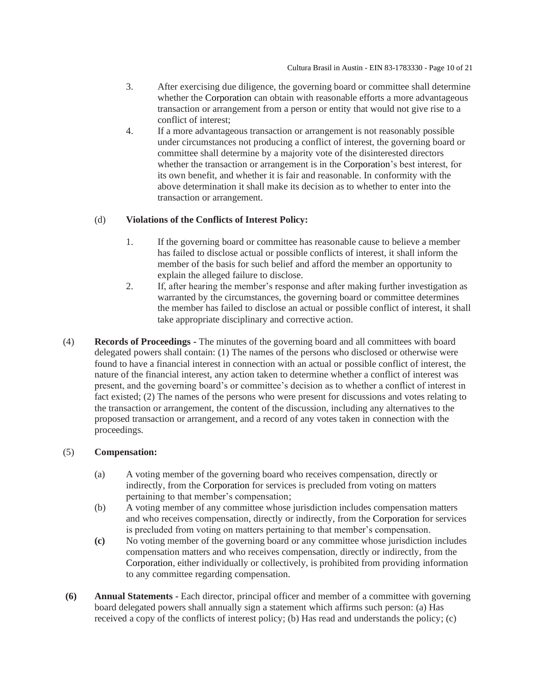- 3. After exercising due diligence, the governing board or committee shall determine whether the Corporation can obtain with reasonable efforts a more advantageous transaction or arrangement from a person or entity that would not give rise to a conflict of interest;
- 4. If a more advantageous transaction or arrangement is not reasonably possible under circumstances not producing a conflict of interest, the governing board or committee shall determine by a majority vote of the disinterested directors whether the transaction or arrangement is in the Corporation's best interest, for its own benefit, and whether it is fair and reasonable. In conformity with the above determination it shall make its decision as to whether to enter into the transaction or arrangement.

## (d) **Violations of the Conflicts of Interest Policy:**

- 1. If the governing board or committee has reasonable cause to believe a member has failed to disclose actual or possible conflicts of interest, it shall inform the member of the basis for such belief and afford the member an opportunity to explain the alleged failure to disclose.
- 2. If, after hearing the member's response and after making further investigation as warranted by the circumstances, the governing board or committee determines the member has failed to disclose an actual or possible conflict of interest, it shall take appropriate disciplinary and corrective action.
- (4) **Records of Proceedings -** The minutes of the governing board and all committees with board delegated powers shall contain: (1) The names of the persons who disclosed or otherwise were found to have a financial interest in connection with an actual or possible conflict of interest, the nature of the financial interest, any action taken to determine whether a conflict of interest was present, and the governing board's or committee's decision as to whether a conflict of interest in fact existed; (2) The names of the persons who were present for discussions and votes relating to the transaction or arrangement, the content of the discussion, including any alternatives to the proposed transaction or arrangement, and a record of any votes taken in connection with the proceedings.

#### (5) **Compensation:**

- (a) A voting member of the governing board who receives compensation, directly or indirectly, from the Corporation for services is precluded from voting on matters pertaining to that member's compensation;
- (b) A voting member of any committee whose jurisdiction includes compensation matters and who receives compensation, directly or indirectly, from the Corporation for services is precluded from voting on matters pertaining to that member's compensation.
- **(c)** No voting member of the governing board or any committee whose jurisdiction includes compensation matters and who receives compensation, directly or indirectly, from the Corporation, either individually or collectively, is prohibited from providing information to any committee regarding compensation.
- **(6) Annual Statements -** Each director, principal officer and member of a committee with governing board delegated powers shall annually sign a statement which affirms such person: (a) Has received a copy of the conflicts of interest policy; (b) Has read and understands the policy; (c)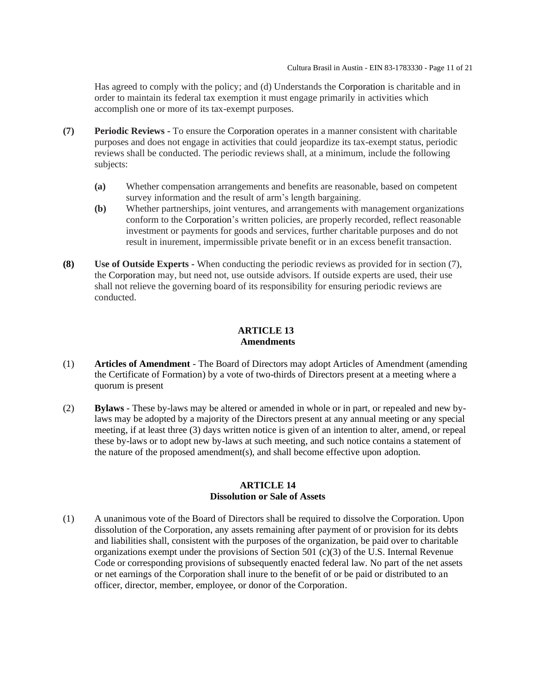Has agreed to comply with the policy; and (d) Understands the Corporation is charitable and in order to maintain its federal tax exemption it must engage primarily in activities which accomplish one or more of its tax-exempt purposes.

- **(7) Periodic Reviews -** To ensure the Corporation operates in a manner consistent with charitable purposes and does not engage in activities that could jeopardize its tax-exempt status, periodic reviews shall be conducted. The periodic reviews shall, at a minimum, include the following subjects:
	- **(a)** Whether compensation arrangements and benefits are reasonable, based on competent survey information and the result of arm's length bargaining.
	- **(b)** Whether partnerships, joint ventures, and arrangements with management organizations conform to the Corporation's written policies, are properly recorded, reflect reasonable investment or payments for goods and services, further charitable purposes and do not result in inurement, impermissible private benefit or in an excess benefit transaction.
- **(8) Use of Outside Experts -** When conducting the periodic reviews as provided for in section (7), the Corporation may, but need not, use outside advisors. If outside experts are used, their use shall not relieve the governing board of its responsibility for ensuring periodic reviews are conducted.

## **ARTICLE 13 Amendments**

- (1) **Articles of Amendment** The Board of Directors may adopt Articles of Amendment (amending the Certificate of Formation) by a vote of two-thirds of Directors present at a meeting where a quorum is present
- (2) **Bylaws** These by-laws may be altered or amended in whole or in part, or repealed and new bylaws may be adopted by a majority of the Directors present at any annual meeting or any special meeting, if at least three (3) days written notice is given of an intention to alter, amend, or repeal these by-laws or to adopt new by-laws at such meeting, and such notice contains a statement of the nature of the proposed amendment(s), and shall become effective upon adoption.

#### **ARTICLE 14 Dissolution or Sale of Assets**

(1) A unanimous vote of the Board of Directors shall be required to dissolve the Corporation. Upon dissolution of the Corporation, any assets remaining after payment of or provision for its debts and liabilities shall, consistent with the purposes of the organization, be paid over to charitable organizations exempt under the provisions of Section 501 (c)(3) of the U.S. Internal Revenue Code or corresponding provisions of subsequently enacted federal law. No part of the net assets or net earnings of the Corporation shall inure to the benefit of or be paid or distributed to an officer, director, member, employee, or donor of the Corporation.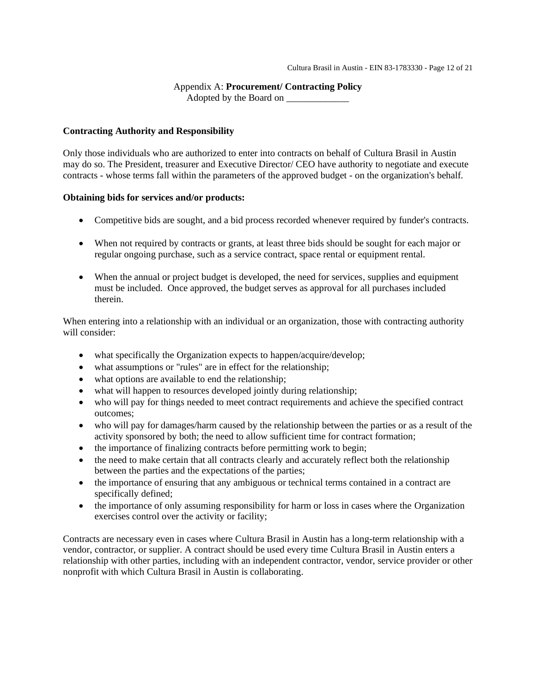# Appendix A: **Procurement/ Contracting Policy**

Adopted by the Board on \_\_\_\_\_\_\_\_\_\_\_\_\_

## **Contracting Authority and Responsibility**

Only those individuals who are authorized to enter into contracts on behalf of Cultura Brasil in Austin may do so. The President, treasurer and Executive Director/ CEO have authority to negotiate and execute contracts - whose terms fall within the parameters of the approved budget - on the organization's behalf*.*

#### **Obtaining bids for services and/or products:**

- Competitive bids are sought, and a bid process recorded whenever required by funder's contracts.
- When not required by contracts or grants, at least three bids should be sought for each major or regular ongoing purchase, such as a service contract, space rental or equipment rental.
- When the annual or project budget is developed, the need for services, supplies and equipment must be included. Once approved, the budget serves as approval for all purchases included therein.

When entering into a relationship with an individual or an organization, those with contracting authority will consider:

- what specifically the Organization expects to happen/acquire/develop;
- what assumptions or "rules" are in effect for the relationship;
- what options are available to end the relationship;
- what will happen to resources developed jointly during relationship;
- who will pay for things needed to meet contract requirements and achieve the specified contract outcomes;
- who will pay for damages/harm caused by the relationship between the parties or as a result of the activity sponsored by both; the need to allow sufficient time for contract formation;
- the importance of finalizing contracts before permitting work to begin;
- the need to make certain that all contracts clearly and accurately reflect both the relationship between the parties and the expectations of the parties;
- the importance of ensuring that any ambiguous or technical terms contained in a contract are specifically defined;
- the importance of only assuming responsibility for harm or loss in cases where the Organization exercises control over the activity or facility;

Contracts are necessary even in cases where Cultura Brasil in Austin has a long-term relationship with a vendor, contractor, or supplier. A contract should be used every time Cultura Brasil in Austin enters a relationship with other parties, including with an independent contractor, vendor, service provider or other nonprofit with which Cultura Brasil in Austin is collaborating.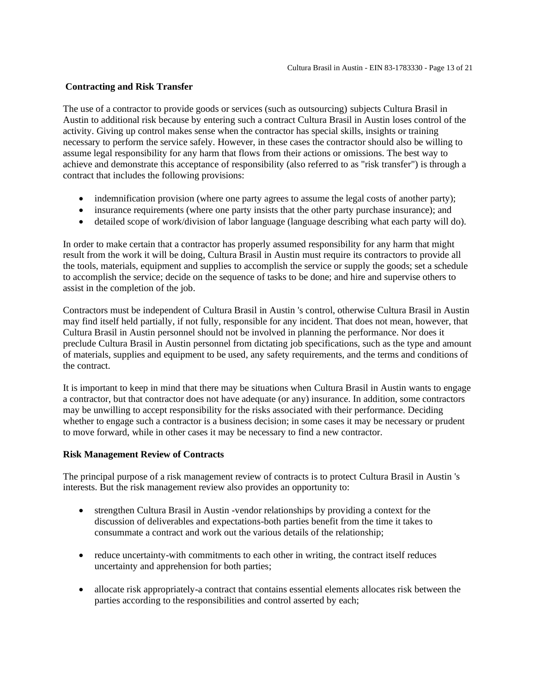## **Contracting and Risk Transfer**

The use of a contractor to provide goods or services (such as outsourcing) subjects Cultura Brasil in Austin to additional risk because by entering such a contract Cultura Brasil in Austin loses control of the activity. Giving up control makes sense when the contractor has special skills, insights or training necessary to perform the service safely. However, in these cases the contractor should also be willing to assume legal responsibility for any harm that flows from their actions or omissions. The best way to achieve and demonstrate this acceptance of responsibility (also referred to as "risk transfer") is through a contract that includes the following provisions:

- indemnification provision (where one party agrees to assume the legal costs of another party);
- insurance requirements (where one party insists that the other party purchase insurance); and
- detailed scope of work/division of labor language (language describing what each party will do).

In order to make certain that a contractor has properly assumed responsibility for any harm that might result from the work it will be doing, Cultura Brasil in Austin must require its contractors to provide all the tools, materials, equipment and supplies to accomplish the service or supply the goods; set a schedule to accomplish the service; decide on the sequence of tasks to be done; and hire and supervise others to assist in the completion of the job.

Contractors must be independent of Cultura Brasil in Austin 's control, otherwise Cultura Brasil in Austin may find itself held partially, if not fully, responsible for any incident. That does not mean, however, that Cultura Brasil in Austin personnel should not be involved in planning the performance. Nor does it preclude Cultura Brasil in Austin personnel from dictating job specifications, such as the type and amount of materials, supplies and equipment to be used, any safety requirements, and the terms and conditions of the contract.

It is important to keep in mind that there may be situations when Cultura Brasil in Austin wants to engage a contractor, but that contractor does not have adequate (or any) insurance. In addition, some contractors may be unwilling to accept responsibility for the risks associated with their performance. Deciding whether to engage such a contractor is a business decision; in some cases it may be necessary or prudent to move forward, while in other cases it may be necessary to find a new contractor.

## **Risk Management Review of Contracts**

The principal purpose of a risk management review of contracts is to protect Cultura Brasil in Austin 's interests. But the risk management review also provides an opportunity to:

- strengthen Cultura Brasil in Austin -vendor relationships by providing a context for the discussion of deliverables and expectations-both parties benefit from the time it takes to consummate a contract and work out the various details of the relationship;
- reduce uncertainty-with commitments to each other in writing, the contract itself reduces uncertainty and apprehension for both parties;
- allocate risk appropriately-a contract that contains essential elements allocates risk between the parties according to the responsibilities and control asserted by each;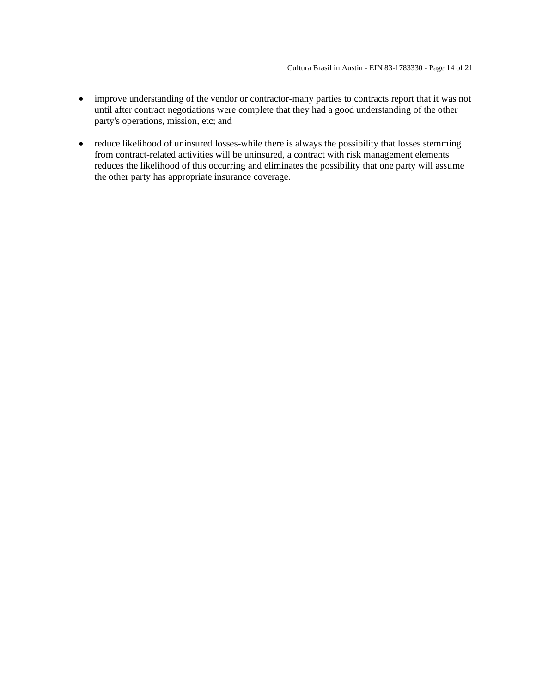- improve understanding of the vendor or contractor-many parties to contracts report that it was not until after contract negotiations were complete that they had a good understanding of the other party's operations, mission, etc; and
- reduce likelihood of uninsured losses-while there is always the possibility that losses stemming from contract-related activities will be uninsured, a contract with risk management elements reduces the likelihood of this occurring and eliminates the possibility that one party will assume the other party has appropriate insurance coverage.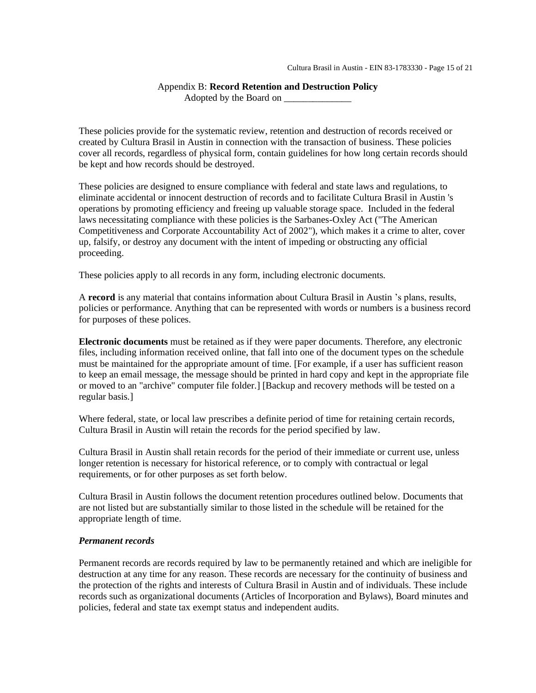# Appendix B: **Record Retention and Destruction Policy**

Adopted by the Board on \_\_\_\_\_\_\_\_\_\_\_\_\_\_

These policies provide for the systematic review, retention and destruction of records received or created by Cultura Brasil in Austin in connection with the transaction of business. These policies cover all records, regardless of physical form, contain guidelines for how long certain records should be kept and how records should be destroyed.

These policies are designed to ensure compliance with federal and state laws and regulations, to eliminate accidental or innocent destruction of records and to facilitate Cultura Brasil in Austin 's operations by promoting efficiency and freeing up valuable storage space. Included in the federal laws necessitating compliance with these policies is the Sarbanes-Oxley Act ("The American Competitiveness and Corporate Accountability Act of 2002"), which makes it a crime to alter, cover up, falsify, or destroy any document with the intent of impeding or obstructing any official proceeding.

These policies apply to all records in any form, including electronic documents.

A **record** is any material that contains information about Cultura Brasil in Austin 's plans, results, policies or performance. Anything that can be represented with words or numbers is a business record for purposes of these polices.

**Electronic documents** must be retained as if they were paper documents. Therefore, any electronic files, including information received online, that fall into one of the document types on the schedule must be maintained for the appropriate amount of time. [For example, if a user has sufficient reason to keep an email message, the message should be printed in hard copy and kept in the appropriate file or moved to an "archive" computer file folder.] [Backup and recovery methods will be tested on a regular basis.]

Where federal, state, or local law prescribes a definite period of time for retaining certain records, Cultura Brasil in Austin will retain the records for the period specified by law.

Cultura Brasil in Austin shall retain records for the period of their immediate or current use, unless longer retention is necessary for historical reference, or to comply with contractual or legal requirements, or for other purposes as set forth below.

Cultura Brasil in Austin follows the document retention procedures outlined below. Documents that are not listed but are substantially similar to those listed in the schedule will be retained for the appropriate length of time.

## *Permanent records*

Permanent records are records required by law to be permanently retained and which are ineligible for destruction at any time for any reason. These records are necessary for the continuity of business and the protection of the rights and interests of Cultura Brasil in Austin and of individuals. These include records such as organizational documents (Articles of Incorporation and Bylaws), Board minutes and policies, federal and state tax exempt status and independent audits.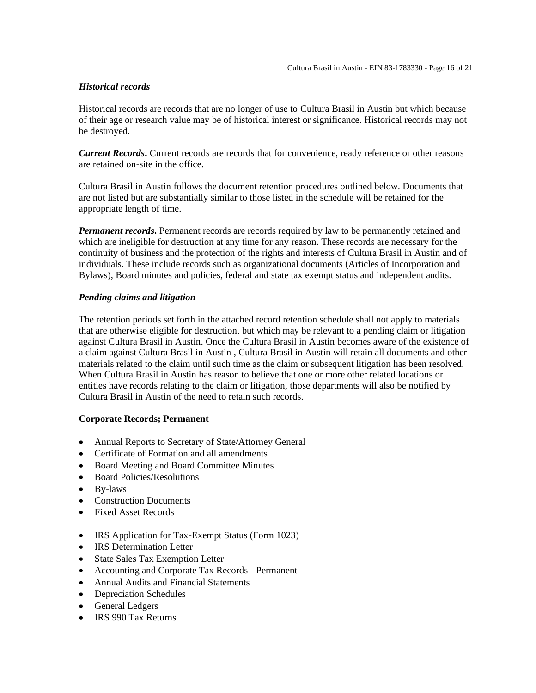# *Historical records*

Historical records are records that are no longer of use to Cultura Brasil in Austin but which because of their age or research value may be of historical interest or significance. Historical records may not be destroyed.

*Current Records***.** Current records are records that for convenience, ready reference or other reasons are retained on-site in the office.

Cultura Brasil in Austin follows the document retention procedures outlined below. Documents that are not listed but are substantially similar to those listed in the schedule will be retained for the appropriate length of time.

*Permanent records*. Permanent records are records required by law to be permanently retained and which are ineligible for destruction at any time for any reason. These records are necessary for the continuity of business and the protection of the rights and interests of Cultura Brasil in Austin and of individuals. These include records such as organizational documents (Articles of Incorporation and Bylaws), Board minutes and policies, federal and state tax exempt status and independent audits.

## *Pending claims and litigation*

The retention periods set forth in the attached record retention schedule shall not apply to materials that are otherwise eligible for destruction, but which may be relevant to a pending claim or litigation against Cultura Brasil in Austin. Once the Cultura Brasil in Austin becomes aware of the existence of a claim against Cultura Brasil in Austin , Cultura Brasil in Austin will retain all documents and other materials related to the claim until such time as the claim or subsequent litigation has been resolved. When Cultura Brasil in Austin has reason to believe that one or more other related locations or entities have records relating to the claim or litigation, those departments will also be notified by Cultura Brasil in Austin of the need to retain such records.

## **Corporate Records; Permanent**

- Annual Reports to Secretary of State/Attorney General
- Certificate of Formation and all amendments
- Board Meeting and Board Committee Minutes
- Board Policies/Resolutions
- By-laws
- Construction Documents
- Fixed Asset Records
- IRS Application for Tax-Exempt Status (Form 1023)
- **IRS** Determination Letter
- State Sales Tax Exemption Letter
- Accounting and Corporate Tax Records Permanent
- Annual Audits and Financial Statements
- Depreciation Schedules
- General Ledgers
- IRS 990 Tax Returns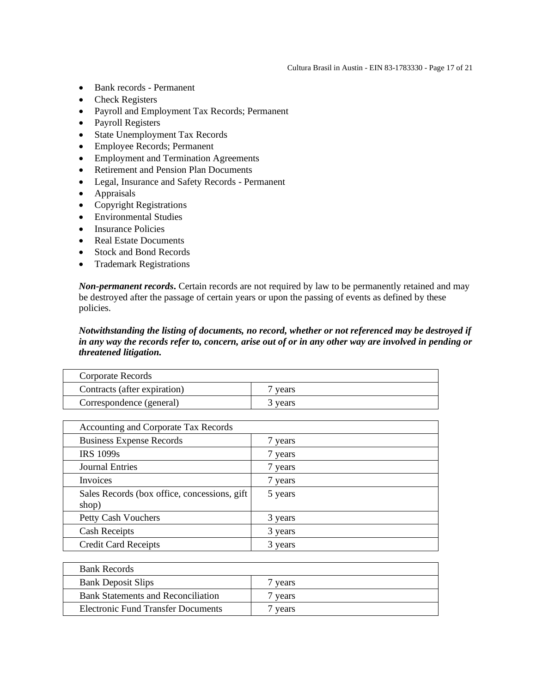- Bank records Permanent
- Check Registers
- Payroll and Employment Tax Records; Permanent
- Payroll Registers
- State Unemployment Tax Records
- Employee Records; Permanent
- Employment and Termination Agreements
- Retirement and Pension Plan Documents
- Legal, Insurance and Safety Records Permanent
- Appraisals
- Copyright Registrations
- Environmental Studies
- Insurance Policies
- Real Estate Documents
- Stock and Bond Records
- Trademark Registrations

*Non-permanent records***.** Certain records are not required by law to be permanently retained and may be destroyed after the passage of certain years or upon the passing of events as defined by these policies.

#### *Notwithstanding the listing of documents, no record, whether or not referenced may be destroyed if in any way the records refer to, concern, arise out of or in any other way are involved in pending or threatened litigation.*

| Corporate Records            |       |
|------------------------------|-------|
| Contracts (after expiration) | vears |
| Correspondence (general)     | vears |

| Accounting and Corporate Tax Records                  |         |
|-------------------------------------------------------|---------|
| <b>Business Expense Records</b>                       | 7 years |
| <b>IRS 1099s</b>                                      | 7 years |
| <b>Journal Entries</b>                                | 7 years |
| Invoices                                              | 7 years |
| Sales Records (box office, concessions, gift<br>shop) | 5 years |
| Petty Cash Vouchers                                   | 3 years |
| <b>Cash Receipts</b>                                  | 3 years |
| <b>Credit Card Receipts</b>                           | 3 years |

| <b>Bank Records</b>                       |       |
|-------------------------------------------|-------|
| <b>Bank Deposit Slips</b>                 | years |
| <b>Bank Statements and Reconciliation</b> | years |
| <b>Electronic Fund Transfer Documents</b> | vears |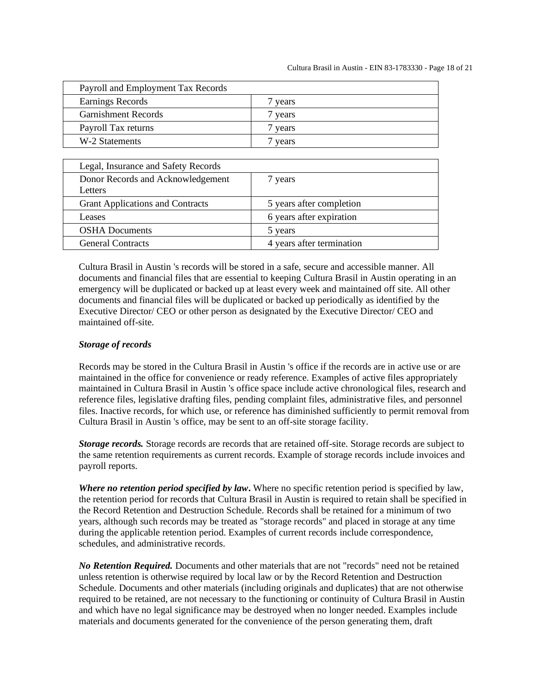| Payroll and Employment Tax Records |         |
|------------------------------------|---------|
| Earnings Records                   | years   |
| <b>Garnishment Records</b>         | years   |
| Payroll Tax returns                | / years |
| W-2 Statements                     | vears   |

| Legal, Insurance and Safety Records          |                           |
|----------------------------------------------|---------------------------|
| Donor Records and Acknowledgement<br>Letters | 7 years                   |
| <b>Grant Applications and Contracts</b>      | 5 years after completion  |
| Leases                                       | 6 years after expiration  |
| <b>OSHA</b> Documents                        | 5 years                   |
| <b>General Contracts</b>                     | 4 years after termination |

Cultura Brasil in Austin 's records will be stored in a safe, secure and accessible manner. All documents and financial files that are essential to keeping Cultura Brasil in Austin operating in an emergency will be duplicated or backed up at least every week and maintained off site. All other documents and financial files will be duplicated or backed up periodically as identified by the Executive Director/ CEO or other person as designated by the Executive Director/ CEO and maintained off-site.

# *Storage of records*

Records may be stored in the Cultura Brasil in Austin 's office if the records are in active use or are maintained in the office for convenience or ready reference. Examples of active files appropriately maintained in Cultura Brasil in Austin 's office space include active chronological files, research and reference files, legislative drafting files, pending complaint files, administrative files, and personnel files. Inactive records, for which use, or reference has diminished sufficiently to permit removal from Cultura Brasil in Austin 's office, may be sent to an off-site storage facility.

*Storage records.* Storage records are records that are retained off-site. Storage records are subject to the same retention requirements as current records. Example of storage records include invoices and payroll reports.

*Where no retention period specified by law***.** Where no specific retention period is specified by law, the retention period for records that Cultura Brasil in Austin is required to retain shall be specified in the Record Retention and Destruction Schedule. Records shall be retained for a minimum of two years, although such records may be treated as "storage records" and placed in storage at any time during the applicable retention period. Examples of current records include correspondence, schedules, and administrative records.

*No Retention Required.* Documents and other materials that are not "records" need not be retained unless retention is otherwise required by local law or by the Record Retention and Destruction Schedule. Documents and other materials (including originals and duplicates) that are not otherwise required to be retained, are not necessary to the functioning or continuity of Cultura Brasil in Austin and which have no legal significance may be destroyed when no longer needed. Examples include materials and documents generated for the convenience of the person generating them, draft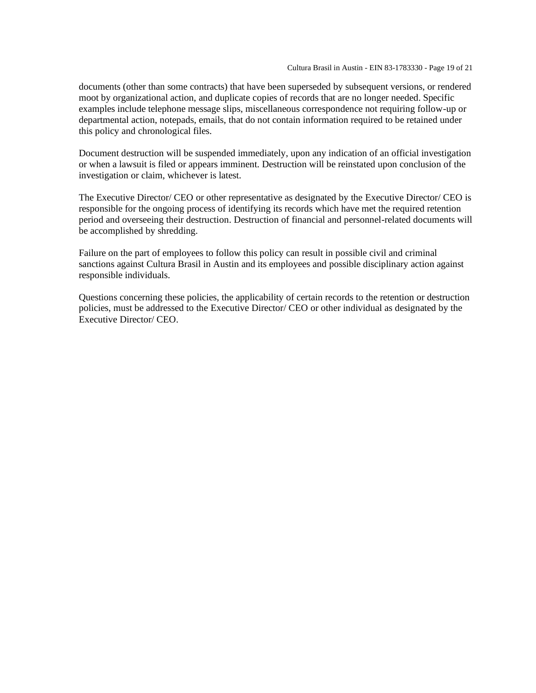documents (other than some contracts) that have been superseded by subsequent versions, or rendered moot by organizational action, and duplicate copies of records that are no longer needed. Specific examples include telephone message slips, miscellaneous correspondence not requiring follow-up or departmental action, notepads, emails, that do not contain information required to be retained under this policy and chronological files.

Document destruction will be suspended immediately, upon any indication of an official investigation or when a lawsuit is filed or appears imminent. Destruction will be reinstated upon conclusion of the investigation or claim, whichever is latest.

The Executive Director/ CEO or other representative as designated by the Executive Director/ CEO is responsible for the ongoing process of identifying its records which have met the required retention period and overseeing their destruction. Destruction of financial and personnel-related documents will be accomplished by shredding.

Failure on the part of employees to follow this policy can result in possible civil and criminal sanctions against Cultura Brasil in Austin and its employees and possible disciplinary action against responsible individuals.

Questions concerning these policies, the applicability of certain records to the retention or destruction policies, must be addressed to the Executive Director/ CEO or other individual as designated by the Executive Director/ CEO.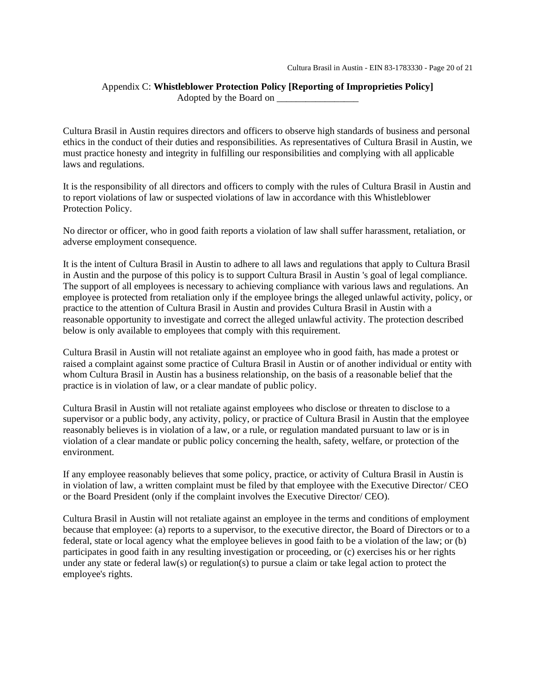# Appendix C: **Whistleblower Protection Policy [Reporting of Improprieties Policy]**

Adopted by the Board on \_\_\_\_\_\_\_\_\_\_\_\_\_\_\_\_\_

Cultura Brasil in Austin requires directors and officers to observe high standards of business and personal ethics in the conduct of their duties and responsibilities. As representatives of Cultura Brasil in Austin, we must practice honesty and integrity in fulfilling our responsibilities and complying with all applicable laws and regulations.

It is the responsibility of all directors and officers to comply with the rules of Cultura Brasil in Austin and to report violations of law or suspected violations of law in accordance with this Whistleblower Protection Policy.

No director or officer, who in good faith reports a violation of law shall suffer harassment, retaliation, or adverse employment consequence.

It is the intent of Cultura Brasil in Austin to adhere to all laws and regulations that apply to Cultura Brasil in Austin and the purpose of this policy is to support Cultura Brasil in Austin 's goal of legal compliance. The support of all employees is necessary to achieving compliance with various laws and regulations. An employee is protected from retaliation only if the employee brings the alleged unlawful activity, policy, or practice to the attention of Cultura Brasil in Austin and provides Cultura Brasil in Austin with a reasonable opportunity to investigate and correct the alleged unlawful activity. The protection described below is only available to employees that comply with this requirement.

Cultura Brasil in Austin will not retaliate against an employee who in good faith, has made a protest or raised a complaint against some practice of Cultura Brasil in Austin or of another individual or entity with whom Cultura Brasil in Austin has a business relationship, on the basis of a reasonable belief that the practice is in violation of law, or a clear mandate of public policy.

Cultura Brasil in Austin will not retaliate against employees who disclose or threaten to disclose to a supervisor or a public body, any activity, policy, or practice of Cultura Brasil in Austin that the employee reasonably believes is in violation of a law, or a rule, or regulation mandated pursuant to law or is in violation of a clear mandate or public policy concerning the health, safety, welfare, or protection of the environment.

If any employee reasonably believes that some policy, practice, or activity of Cultura Brasil in Austin is in violation of law, a written complaint must be filed by that employee with the Executive Director/ CEO or the Board President (only if the complaint involves the Executive Director/ CEO).

Cultura Brasil in Austin will not retaliate against an employee in the terms and conditions of employment because that employee: (a) reports to a supervisor, to the executive director, the Board of Directors or to a federal, state or local agency what the employee believes in good faith to be a violation of the law; or (b) participates in good faith in any resulting investigation or proceeding, or (c) exercises his or her rights under any state or federal law(s) or regulation(s) to pursue a claim or take legal action to protect the employee's rights.